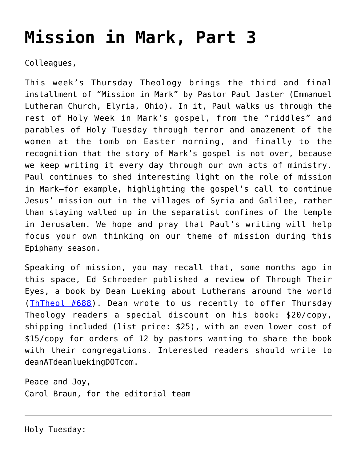# **[Mission in Mark, Part 3](https://crossings.org/mission-in-mark-part-3/)**

Colleagues,

This week's Thursday Theology brings the third and final installment of "Mission in Mark" by Pastor Paul Jaster (Emmanuel Lutheran Church, Elyria, Ohio). In it, Paul walks us through the rest of Holy Week in Mark's gospel, from the "riddles" and parables of Holy Tuesday through terror and amazement of the women at the tomb on Easter morning, and finally to the recognition that the story of Mark's gospel is not over, because we keep writing it every day through our own acts of ministry. Paul continues to shed interesting light on the role of mission in Mark—for example, highlighting the gospel's call to continue Jesus' mission out in the villages of Syria and Galilee, rather than staying walled up in the separatist confines of the temple in Jerusalem. We hope and pray that Paul's writing will help focus your own thinking on our theme of mission during this Epiphany season.

Speaking of mission, you may recall that, some months ago in this space, Ed Schroeder published a review of Through Their Eyes, a book by Dean Lueking about Lutherans around the world ([ThTheol #688](https://crossings.org/thursday/2011/thur081811.shtml)). Dean wrote to us recently to offer Thursday Theology readers a special discount on his book: \$20/copy, shipping included (list price: \$25), with an even lower cost of \$15/copy for orders of 12 by pastors wanting to share the book with their congregations. Interested readers should write to deanATdeanluekingDOTcom.

Peace and Joy, Carol Braun, for the editorial team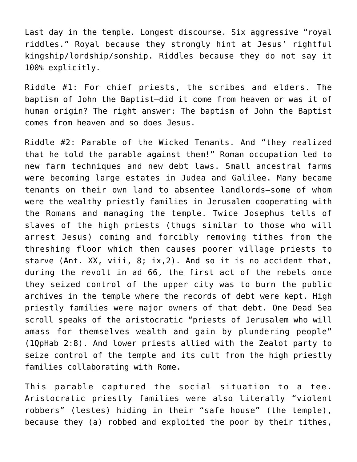Last day in the temple. Longest discourse. Six aggressive "royal riddles." Royal because they strongly hint at Jesus' rightful kingship/lordship/sonship. Riddles because they do not say it 100% explicitly.

Riddle #1: For chief priests, the scribes and elders. The baptism of John the Baptist—did it come from heaven or was it of human origin? The right answer: The baptism of John the Baptist comes from heaven and so does Jesus.

Riddle #2: Parable of the Wicked Tenants. And "they realized that he told the parable against them!" Roman occupation led to new farm techniques and new debt laws. Small ancestral farms were becoming large estates in Judea and Galilee. Many became tenants on their own land to absentee landlords—some of whom were the wealthy priestly families in Jerusalem cooperating with the Romans and managing the temple. Twice Josephus tells of slaves of the high priests (thugs similar to those who will arrest Jesus) coming and forcibly removing tithes from the threshing floor which then causes poorer village priests to starve (Ant. XX, viii, 8; ix,2). And so it is no accident that, during the revolt in ad 66, the first act of the rebels once they seized control of the upper city was to burn the public archives in the temple where the records of debt were kept. High priestly families were major owners of that debt. One Dead Sea scroll speaks of the aristocratic "priests of Jerusalem who will amass for themselves wealth and gain by plundering people" (1QpHab 2:8). And lower priests allied with the Zealot party to seize control of the temple and its cult from the high priestly families collaborating with Rome.

This parable captured the social situation to a tee. Aristocratic priestly families were also literally "violent robbers" (lestes) hiding in their "safe house" (the temple), because they (a) robbed and exploited the poor by their tithes,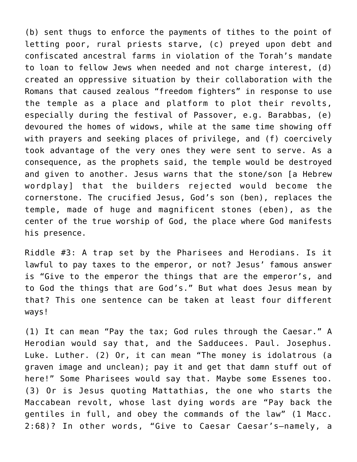(b) sent thugs to enforce the payments of tithes to the point of letting poor, rural priests starve, (c) preyed upon debt and confiscated ancestral farms in violation of the Torah's mandate to loan to fellow Jews when needed and not charge interest, (d) created an oppressive situation by their collaboration with the Romans that caused zealous "freedom fighters" in response to use the temple as a place and platform to plot their revolts, especially during the festival of Passover, e.g. Barabbas, (e) devoured the homes of widows, while at the same time showing off with prayers and seeking places of privilege, and (f) coercively took advantage of the very ones they were sent to serve. As a consequence, as the prophets said, the temple would be destroyed and given to another. Jesus warns that the stone/son [a Hebrew wordplay] that the builders rejected would become the cornerstone. The crucified Jesus, God's son (ben), replaces the temple, made of huge and magnificent stones (eben), as the center of the true worship of God, the place where God manifests his presence.

Riddle #3: A trap set by the Pharisees and Herodians. Is it lawful to pay taxes to the emperor, or not? Jesus' famous answer is "Give to the emperor the things that are the emperor's, and to God the things that are God's." But what does Jesus mean by that? This one sentence can be taken at least four different ways!

(1) It can mean "Pay the tax; God rules through the Caesar." A Herodian would say that, and the Sadducees. Paul. Josephus. Luke. Luther. (2) Or, it can mean "The money is idolatrous (a graven image and unclean); pay it and get that damn stuff out of here!" Some Pharisees would say that. Maybe some Essenes too. (3) Or is Jesus quoting Mattathias, the one who starts the Maccabean revolt, whose last dying words are "Pay back the gentiles in full, and obey the commands of the law" (1 Macc. 2:68)? In other words, "Give to Caesar Caesar's—namely, a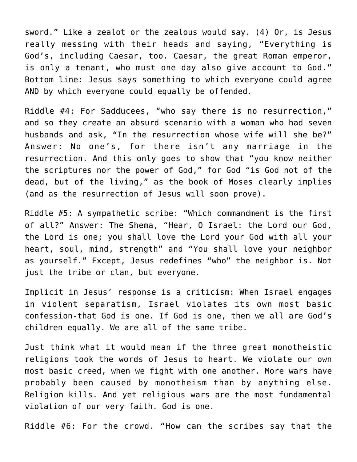sword." Like a zealot or the zealous would say. (4) Or, is Jesus really messing with their heads and saying, "Everything is God's, including Caesar, too. Caesar, the great Roman emperor, is only a tenant, who must one day also give account to God." Bottom line: Jesus says something to which everyone could agree AND by which everyone could equally be offended.

Riddle #4: For Sadducees, "who say there is no resurrection," and so they create an absurd scenario with a woman who had seven husbands and ask, "In the resurrection whose wife will she be?" Answer: No one's, for there isn't any marriage in the resurrection. And this only goes to show that "you know neither the scriptures nor the power of God," for God "is God not of the dead, but of the living," as the book of Moses clearly implies (and as the resurrection of Jesus will soon prove).

Riddle #5: A sympathetic scribe: "Which commandment is the first of all?" Answer: The Shema, "Hear, O Israel: the Lord our God, the Lord is one; you shall love the Lord your God with all your heart, soul, mind, strength" and "You shall love your neighbor as yourself." Except, Jesus redefines "who" the neighbor is. Not just the tribe or clan, but everyone.

Implicit in Jesus' response is a criticism: When Israel engages in violent separatism, Israel violates its own most basic confession-that God is one. If God is one, then we all are God's children—equally. We are all of the same tribe.

Just think what it would mean if the three great monotheistic religions took the words of Jesus to heart. We violate our own most basic creed, when we fight with one another. More wars have probably been caused by monotheism than by anything else. Religion kills. And yet religious wars are the most fundamental violation of our very faith. God is one.

Riddle #6: For the crowd. "How can the scribes say that the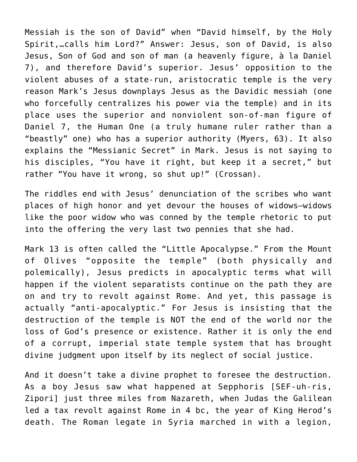Messiah is the son of David" when "David himself, by the Holy Spirit,…calls him Lord?" Answer: Jesus, son of David, is also Jesus, Son of God and son of man (a heavenly figure, à la Daniel 7), and therefore David's superior. Jesus' opposition to the violent abuses of a state-run, aristocratic temple is the very reason Mark's Jesus downplays Jesus as the Davidic messiah (one who forcefully centralizes his power via the temple) and in its place uses the superior and nonviolent son-of-man figure of Daniel 7, the Human One (a truly humane ruler rather than a "beastly" one) who has a superior authority (Myers, 63). It also explains the "Messianic Secret" in Mark. Jesus is not saying to his disciples, "You have it right, but keep it a secret," but rather "You have it wrong, so shut up!" (Crossan).

The riddles end with Jesus' denunciation of the scribes who want places of high honor and yet devour the houses of widows—widows like the poor widow who was conned by the temple rhetoric to put into the offering the very last two pennies that she had.

Mark 13 is often called the "Little Apocalypse." From the Mount of Olives "opposite the temple" (both physically and polemically), Jesus predicts in apocalyptic terms what will happen if the violent separatists continue on the path they are on and try to revolt against Rome. And yet, this passage is actually "anti-apocalyptic." For Jesus is insisting that the destruction of the temple is NOT the end of the world nor the loss of God's presence or existence. Rather it is only the end of a corrupt, imperial state temple system that has brought divine judgment upon itself by its neglect of social justice.

And it doesn't take a divine prophet to foresee the destruction. As a boy Jesus saw what happened at Sepphoris [SEF-uh-ris, Zipori] just three miles from Nazareth, when Judas the Galilean led a tax revolt against Rome in 4 bc, the year of King Herod's death. The Roman legate in Syria marched in with a legion,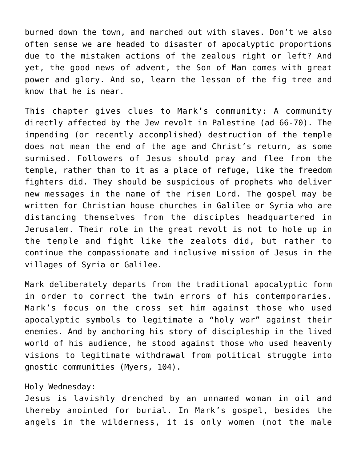burned down the town, and marched out with slaves. Don't we also often sense we are headed to disaster of apocalyptic proportions due to the mistaken actions of the zealous right or left? And yet, the good news of advent, the Son of Man comes with great power and glory. And so, learn the lesson of the fig tree and know that he is near.

This chapter gives clues to Mark's community: A community directly affected by the Jew revolt in Palestine (ad 66-70). The impending (or recently accomplished) destruction of the temple does not mean the end of the age and Christ's return, as some surmised. Followers of Jesus should pray and flee from the temple, rather than to it as a place of refuge, like the freedom fighters did. They should be suspicious of prophets who deliver new messages in the name of the risen Lord. The gospel may be written for Christian house churches in Galilee or Syria who are distancing themselves from the disciples headquartered in Jerusalem. Their role in the great revolt is not to hole up in the temple and fight like the zealots did, but rather to continue the compassionate and inclusive mission of Jesus in the villages of Syria or Galilee.

Mark deliberately departs from the traditional apocalyptic form in order to correct the twin errors of his contemporaries. Mark's focus on the cross set him against those who used apocalyptic symbols to legitimate a "holy war" against their enemies. And by anchoring his story of discipleship in the lived world of his audience, he stood against those who used heavenly visions to legitimate withdrawal from political struggle into gnostic communities (Myers, 104).

## Holy Wednesday:

Jesus is lavishly drenched by an unnamed woman in oil and thereby anointed for burial. In Mark's gospel, besides the angels in the wilderness, it is only women (not the male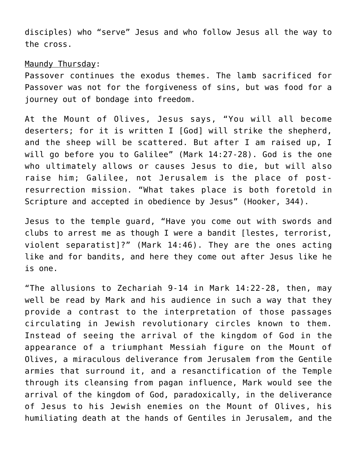disciples) who "serve" Jesus and who follow Jesus all the way to the cross.

## Maundy Thursday:

Passover continues the exodus themes. The lamb sacrificed for Passover was not for the forgiveness of sins, but was food for a journey out of bondage into freedom.

At the Mount of Olives, Jesus says, "You will all become deserters; for it is written I [God] will strike the shepherd, and the sheep will be scattered. But after I am raised up, I will go before you to Galilee" (Mark 14:27-28). God is the one who ultimately allows or causes Jesus to die, but will also raise him; Galilee, not Jerusalem is the place of postresurrection mission. "What takes place is both foretold in Scripture and accepted in obedience by Jesus" (Hooker, 344).

Jesus to the temple guard, "Have you come out with swords and clubs to arrest me as though I were a bandit [lestes, terrorist, violent separatist]?" (Mark 14:46). They are the ones acting like and for bandits, and here they come out after Jesus like he is one.

"The allusions to Zechariah 9-14 in Mark 14:22-28, then, may well be read by Mark and his audience in such a way that they provide a contrast to the interpretation of those passages circulating in Jewish revolutionary circles known to them. Instead of seeing the arrival of the kingdom of God in the appearance of a triumphant Messiah figure on the Mount of Olives, a miraculous deliverance from Jerusalem from the Gentile armies that surround it, and a resanctification of the Temple through its cleansing from pagan influence, Mark would see the arrival of the kingdom of God, paradoxically, in the deliverance of Jesus to his Jewish enemies on the Mount of Olives, his humiliating death at the hands of Gentiles in Jerusalem, and the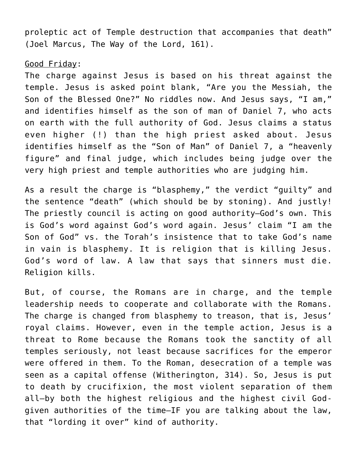proleptic act of Temple destruction that accompanies that death" (Joel Marcus, The Way of the Lord, 161).

## Good Friday:

The charge against Jesus is based on his threat against the temple. Jesus is asked point blank, "Are you the Messiah, the Son of the Blessed One?" No riddles now. And Jesus says, "I am," and identifies himself as the son of man of Daniel 7, who acts on earth with the full authority of God. Jesus claims a status even higher (!) than the high priest asked about. Jesus identifies himself as the "Son of Man" of Daniel 7, a "heavenly figure" and final judge, which includes being judge over the very high priest and temple authorities who are judging him.

As a result the charge is "blasphemy," the verdict "guilty" and the sentence "death" (which should be by stoning). And justly! The priestly council is acting on good authority—God's own. This is God's word against God's word again. Jesus' claim "I am the Son of God" vs. the Torah's insistence that to take God's name in vain is blasphemy. It is religion that is killing Jesus. God's word of law. A law that says that sinners must die. Religion kills.

But, of course, the Romans are in charge, and the temple leadership needs to cooperate and collaborate with the Romans. The charge is changed from blasphemy to treason, that is, Jesus' royal claims. However, even in the temple action, Jesus is a threat to Rome because the Romans took the sanctity of all temples seriously, not least because sacrifices for the emperor were offered in them. To the Roman, desecration of a temple was seen as a capital offense (Witherington, 314). So, Jesus is put to death by crucifixion, the most violent separation of them all—by both the highest religious and the highest civil Godgiven authorities of the time—IF you are talking about the law, that "lording it over" kind of authority.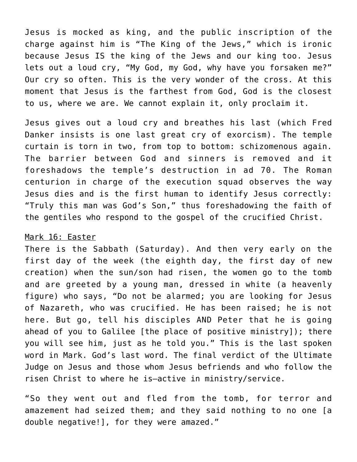Jesus is mocked as king, and the public inscription of the charge against him is "The King of the Jews," which is ironic because Jesus IS the king of the Jews and our king too. Jesus lets out a loud cry, "My God, my God, why have you forsaken me?" Our cry so often. This is the very wonder of the cross. At this moment that Jesus is the farthest from God, God is the closest to us, where we are. We cannot explain it, only proclaim it.

Jesus gives out a loud cry and breathes his last (which Fred Danker insists is one last great cry of exorcism). The temple curtain is torn in two, from top to bottom: schizomenous again. The barrier between God and sinners is removed and it foreshadows the temple's destruction in ad 70. The Roman centurion in charge of the execution squad observes the way Jesus dies and is the first human to identify Jesus correctly: "Truly this man was God's Son," thus foreshadowing the faith of the gentiles who respond to the gospel of the crucified Christ.

#### Mark 16: Easter

There is the Sabbath (Saturday). And then very early on the first day of the week (the eighth day, the first day of new creation) when the sun/son had risen, the women go to the tomb and are greeted by a young man, dressed in white (a heavenly figure) who says, "Do not be alarmed; you are looking for Jesus of Nazareth, who was crucified. He has been raised; he is not here. But go, tell his disciples AND Peter that he is going ahead of you to Galilee [the place of positive ministry]); there you will see him, just as he told you." This is the last spoken word in Mark. God's last word. The final verdict of the Ultimate Judge on Jesus and those whom Jesus befriends and who follow the risen Christ to where he is—active in ministry/service.

"So they went out and fled from the tomb, for terror and amazement had seized them; and they said nothing to no one [a double negative!], for they were amazed."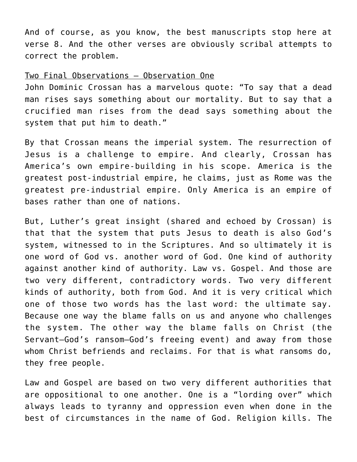And of course, as you know, the best manuscripts stop here at verse 8. And the other verses are obviously scribal attempts to correct the problem.

# Two Final Observations — Observation One

John Dominic Crossan has a marvelous quote: "To say that a dead man rises says something about our mortality. But to say that a crucified man rises from the dead says something about the system that put him to death."

By that Crossan means the imperial system. The resurrection of Jesus is a challenge to empire. And clearly, Crossan has America's own empire-building in his scope. America is the greatest post-industrial empire, he claims, just as Rome was the greatest pre-industrial empire. Only America is an empire of bases rather than one of nations.

But, Luther's great insight (shared and echoed by Crossan) is that that the system that puts Jesus to death is also God's system, witnessed to in the Scriptures. And so ultimately it is one word of God vs. another word of God. One kind of authority against another kind of authority. Law vs. Gospel. And those are two very different, contradictory words. Two very different kinds of authority, both from God. And it is very critical which one of those two words has the last word: the ultimate say. Because one way the blame falls on us and anyone who challenges the system. The other way the blame falls on Christ (the Servant—God's ransom—God's freeing event) and away from those whom Christ befriends and reclaims. For that is what ransoms do, they free people.

Law and Gospel are based on two very different authorities that are oppositional to one another. One is a "lording over" which always leads to tyranny and oppression even when done in the best of circumstances in the name of God. Religion kills. The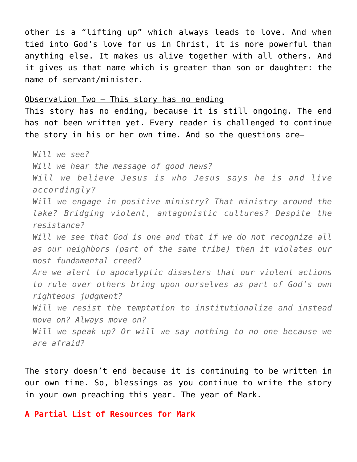other is a "lifting up" which always leads to love. And when tied into God's love for us in Christ, it is more powerful than anything else. It makes us alive together with all others. And it gives us that name which is greater than son or daughter: the name of servant/minister.

#### Observation Two — This story has no ending

This story has no ending, because it is still ongoing. The end has not been written yet. Every reader is challenged to continue the story in his or her own time. And so the questions are—

*Will we see? Will we hear the message of good news? Will we believe Jesus is who Jesus says he is and live accordingly? Will we engage in positive ministry? That ministry around the lake? Bridging violent, antagonistic cultures? Despite the resistance? Will we see that God is one and that if we do not recognize all as our neighbors (part of the same tribe) then it violates our most fundamental creed? Are we alert to apocalyptic disasters that our violent actions to rule over others bring upon ourselves as part of God's own righteous judgment? Will we resist the temptation to institutionalize and instead move on? Always move on? Will we speak up? Or will we say nothing to no one because we are afraid?*

The story doesn't end because it is continuing to be written in our own time. So, blessings as you continue to write the story in your own preaching this year. The year of Mark.

**A Partial List of Resources for Mark**